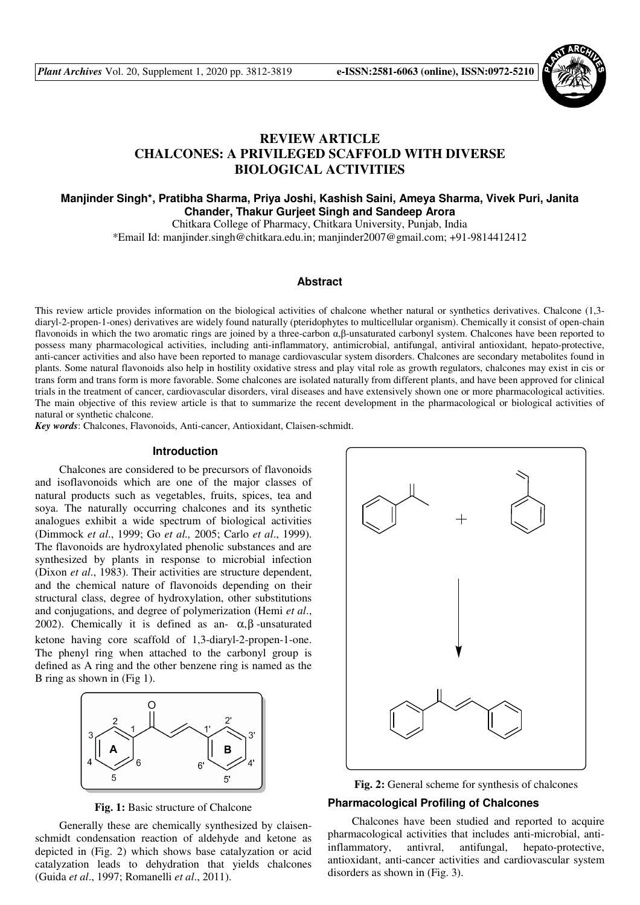

# **REVIEW ARTICLE CHALCONES: A PRIVILEGED SCAFFOLD WITH DIVERSE BIOLOGICAL ACTIVITIES**

# **Manjinder Singh\*, Pratibha Sharma, Priya Joshi, Kashish Saini, Ameya Sharma, Vivek Puri, Janita Chander, Thakur Gurjeet Singh and Sandeep Arora**

Chitkara College of Pharmacy, Chitkara University, Punjab, India \*Email Id: manjinder.singh@chitkara.edu.in; manjinder2007@gmail.com; +91-9814412412

# **Abstract**

This review article provides information on the biological activities of chalcone whether natural or synthetics derivatives. Chalcone (1,3 diaryl-2-propen-1-ones) derivatives are widely found naturally (pteridophytes to multicellular organism). Chemically it consist of open-chain flavonoids in which the two aromatic rings are joined by a three-carbon α,β-unsaturated carbonyl system. Chalcones have been reported to possess many pharmacological activities, including anti-inflammatory, antimicrobial, antifungal, antiviral antioxidant, hepato-protective, anti-cancer activities and also have been reported to manage cardiovascular system disorders. Chalcones are secondary metabolites found in plants. Some natural flavonoids also help in hostility oxidative stress and play vital role as growth regulators, chalcones may exist in cis or trans form and trans form is more favorable. Some chalcones are isolated naturally from different plants, and have been approved for clinical trials in the treatment of cancer, cardiovascular disorders, viral diseases and have extensively shown one or more pharmacological activities. The main objective of this review article is that to summarize the recent development in the pharmacological or biological activities of natural or synthetic chalcone.

*Key words*: Chalcones, Flavonoids, Anti-cancer, Antioxidant, Claisen-schmidt.

### **Introduction**

Chalcones are considered to be precursors of flavonoids and isoflavonoids which are one of the major classes of natural products such as vegetables, fruits, spices, tea and soya. The naturally occurring chalcones and its synthetic analogues exhibit a wide spectrum of biological activities (Dimmock *et al*., 1999; Go *et al.,* 2005; Carlo *et al*., 1999). The flavonoids are hydroxylated phenolic substances and are synthesized by plants in response to microbial infection (Dixon *et al*., 1983). Their activities are structure dependent, and the chemical nature of flavonoids depending on their structural class, degree of hydroxylation, other substitutions and conjugations, and degree of polymerization (Hemi *et al*., 2002). Chemically it is defined as an-  $\alpha$ , β-unsaturated ketone having core scaffold of 1,3-diaryl-2-propen-1-one. The phenyl ring when attached to the carbonyl group is defined as A ring and the other benzene ring is named as the B ring as shown in (Fig 1).



**Fig. 1:** Basic structure of Chalcone

Generally these are chemically synthesized by claisenschmidt condensation reaction of aldehyde and ketone as depicted in (Fig. 2) which shows base catalyzation or acid catalyzation leads to dehydration that yields chalcones (Guida *et al*., 1997; Romanelli *et al*., 2011).





# **Pharmacological Profiling of Chalcones**

Chalcones have been studied and reported to acquire pharmacological activities that includes anti-microbial, antiinflammatory, antivral, antifungal, hepato-protective, antioxidant, anti-cancer activities and cardiovascular system disorders as shown in (Fig. 3).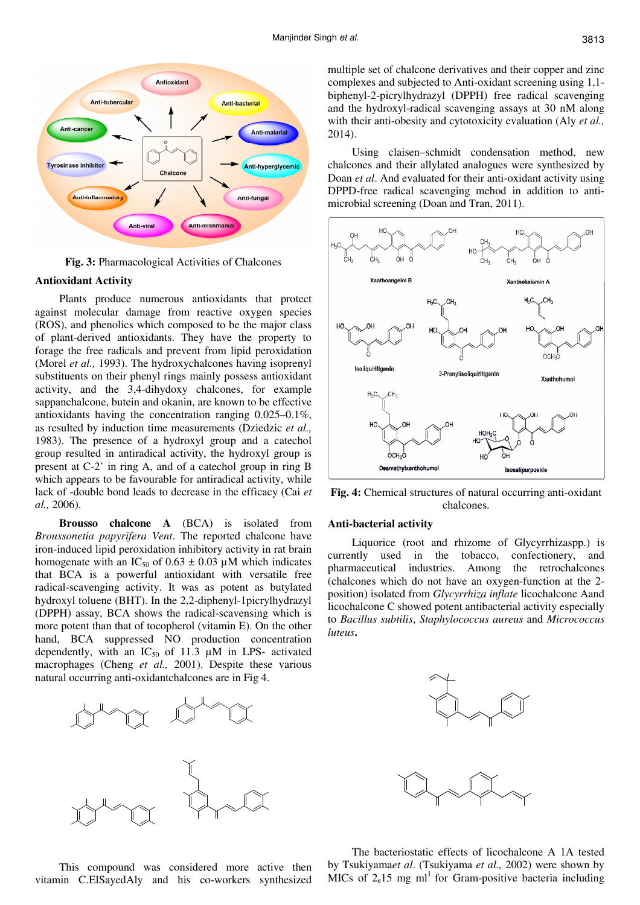

**Fig. 3:** Pharmacological Activities of Chalcones

# **Antioxidant Activity**

Plants produce numerous antioxidants that protect against molecular damage from reactive oxygen species (ROS), and phenolics which composed to be the major class of plant-derived antioxidants. They have the property to forage the free radicals and prevent from lipid peroxidation (Morel *et al.,* 1993). The hydroxychalcones having isoprenyl substituents on their phenyl rings mainly possess antioxidant activity, and the 3,4-dihydoxy chalcones, for example sappanchalcone, butein and okanin, are known to be effective antioxidants having the concentration ranging 0.025–0.1%, as resulted by induction time measurements (Dziedzic *et al.,*  1983). The presence of a hydroxyl group and a catechol group resulted in antiradical activity, the hydroxyl group is present at C-2' in ring A, and of a catechol group in ring B which appears to be favourable for antiradical activity, while lack of -double bond leads to decrease in the efficacy (Cai *et al.,* 2006).

**Brousso chalcone A** (BCA) is isolated from *Broussonetia papyrifera Vent*. The reported chalcone have iron-induced lipid peroxidation inhibitory activity in rat brain homogenate with an IC<sub>50</sub> of 0.63  $\pm$  0.03 µM which indicates that BCA is a powerful antioxidant with versatile free radical-scavenging activity. It was as potent as butylated hydroxyl toluene (BHT). In the 2,2-diphenyl-1picrylhydrazyl (DPPH) assay, BCA shows the radical-scavensing which is more potent than that of tocopherol (vitamin E). On the other hand, BCA suppressed NO production concentration dependently, with an  $IC_{50}$  of 11.3  $\mu$ M in LPS- activated macrophages (Cheng *et al.,* 2001). Despite these various natural occurring anti-oxidantchalcones are in Fig 4.



This compound was considered more active then vitamin C.ElSayedAly and his co-workers synthesized multiple set of chalcone derivatives and their copper and zinc complexes and subjected to Anti-oxidant screening using 1,1 biphenyl-2-picrylhydrazyl (DPPH) free radical scavenging and the hydroxyl-radical scavenging assays at 30 nM along with their anti-obesity and cytotoxicity evaluation (Aly *et al.,* 2014).

Using claisen–schmidt condensation method, new chalcones and their allylated analogues were synthesized by Doan *et al*. And evaluated for their anti-oxidant activity using DPPD-free radical scavenging mehod in addition to antimicrobial screening (Doan and Tran, 2011).



**Fig. 4:** Chemical structures of natural occurring anti-oxidant chalcones.

#### **Anti-bacterial activity**

Liquorice (root and rhizome of Glycyrrhizaspp.) is currently used in the tobacco, confectionery, and pharmaceutical industries. Among the retrochalcones (chalcones which do not have an oxygen-function at the 2 position) isolated from *Glycyrrhiza inflate* licochalcone Aand licochalcone C showed potent antibacterial activity especially to *Bacillus subtilis*, *Staphylococcus aureus* and *Micrococcus luteus***.** 



The bacteriostatic effects of licochalcone A 1A tested by Tsukiyama*et al*. (Tsukiyama *et al.,* 2002) were shown by MICs of  $2e^{15}$  mg ml<sup>1</sup> for Gram-positive bacteria including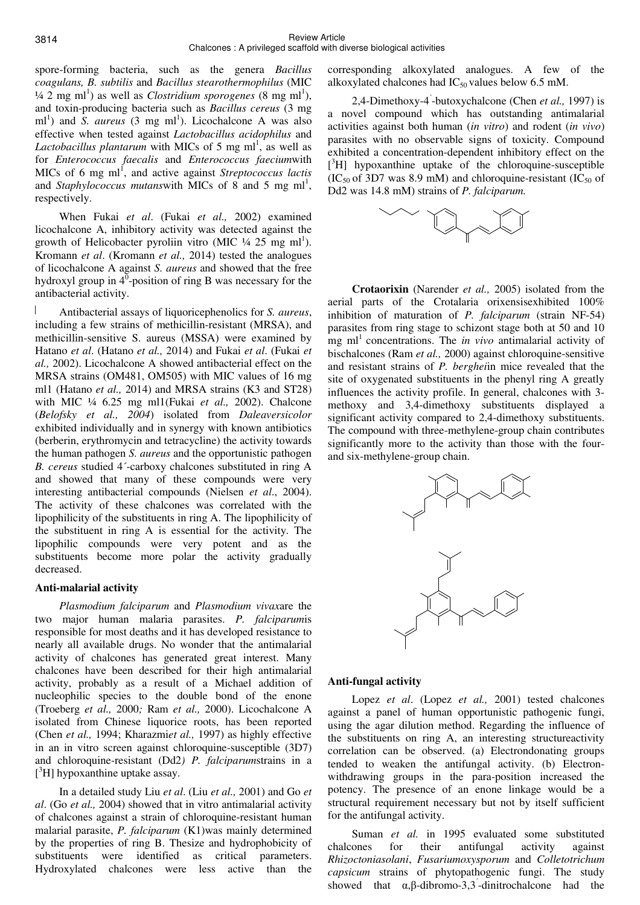spore-forming bacteria, such as the genera *Bacillus coagulans, B. subtilis* and *Bacillus stearothermophilus* (MIC  $\frac{1}{4}$  2 mg ml<sup>1</sup>) as well as *Clostridium sporogenes* (8 mg ml<sup>1</sup>), and toxin-producing bacteria such as *Bacillus cereus* (3 mg ml<sup>1</sup>) and *S. aureus* (3 mg ml<sup>1</sup>). Licochalcone A was also effective when tested against *Lactobacillus acidophilus* and Lactobacillus plantarum with MICs of 5 mg ml<sup>1</sup>, as well as for *Enterococcus faecalis* and *Enterococcus faecium*with MICs of 6 mg ml<sup>1</sup>, and active against *Streptococcus lactis* and *Staphylococcus mutanswith* MICs of  $8$  and  $5$  mg ml<sup>1</sup>, respectively.

When Fukai *et al*. (Fukai *et al.,* 2002) examined licochalcone A, inhibitory activity was detected against the growth of Helicobacter pyroliin vitro (MIC  $\frac{1}{4}$  25 mg ml<sup>1</sup>). Kromann *et al*. (Kromann *et al.,* 2014) tested the analogues of licochalcone A against *S. aureus* and showed that the free hydroxyl group in  $4^{\overline{0}}$ -position of ring B was necessary for the antibacterial activity.

Antibacterial assays of liquoricephenolics for *S. aureus*, including a few strains of methicillin-resistant (MRSA), and methicillin-sensitive S. aureus (MSSA) were examined by Hatano *et al*. (Hatano *et al.,* 2014) and Fukai *et al*. (Fukai *et al.,* 2002). Licochalcone A showed antibacterial effect on the MRSA strains (OM481, OM505) with MIC values of 16 mg ml1 (Hatano *et al.,* 2014) and MRSA strains (K3 and ST28) with MIC ¼ 6.25 mg ml1(Fukai *et al.,* 2002). Chalcone (*Belofsky et al., 2004*) isolated from *Daleaversicolor* exhibited individually and in synergy with known antibiotics (berberin, erythromycin and tetracycline) the activity towards the human pathogen *S. aureus* and the opportunistic pathogen *B. cereus* studied 4´-carboxy chalcones substituted in ring A and showed that many of these compounds were very interesting antibacterial compounds (Nielsen *et al*., 2004). The activity of these chalcones was correlated with the lipophilicity of the substituents in ring A. The lipophilicity of the substituent in ring A is essential for the activity. The lipophilic compounds were very potent and as the substituents become more polar the activity gradually decreased.

# **Anti-malarial activity**

*Plasmodium falciparum* and *Plasmodium vivax*are the two major human malaria parasites. *P. falciparum*is responsible for most deaths and it has developed resistance to nearly all available drugs. No wonder that the antimalarial activity of chalcones has generated great interest. Many chalcones have been described for their high antimalarial activity, probably as a result of a Michael addition of nucleophilic species to the double bond of the enone (Troeberg *et al.,* 2000*;* Ram *et al.,* 2000). Licochalcone A isolated from Chinese liquorice roots, has been reported (Chen *et al.,* 1994; Kharazmi*et al.,* 1997) as highly effective in an in vitro screen against chloroquine-susceptible (3D7) and chloroquine-resistant (Dd2*) P. falciparum*strains in a [ <sup>3</sup>H] hypoxanthine uptake assay.

In a detailed study Liu *et al*. (Liu *et al.,* 2001) and Go *et al*. (Go *et al.,* 2004) showed that in vitro antimalarial activity of chalcones against a strain of chloroquine-resistant human malarial parasite, *P. falciparum* (K1)was mainly determined by the properties of ring B. Thesize and hydrophobicity of substituents were identified as critical parameters. Hydroxylated chalcones were less active than the

corresponding alkoxylated analogues. A few of the alkoxylated chalcones had  $IC_{50}$  values below 6.5 mM.

2,4-Dimethoxy-4´ -butoxychalcone (Chen *et al.,* 1997) is a novel compound which has outstanding antimalarial activities against both human (*in vitro*) and rodent (*in vivo*) parasites with no observable signs of toxicity. Compound exhibited a concentration-dependent inhibitory effect on the [ <sup>3</sup>H] hypoxanthine uptake of the chloroquine-susceptible  $(IC_{50}$  of 3D7 was 8.9 mM) and chloroquine-resistant  $(IC_{50}$  of Dd2 was 14.8 mM) strains of *P. falciparum.* 



**Crotaorixin** (Narender *et al.,* 2005) isolated from the aerial parts of the Crotalaria orixensisexhibited 100% inhibition of maturation of *P. falciparum* (strain NF-54) parasites from ring stage to schizont stage both at 50 and 10 mg m<sup>1</sup> concentrations. The *in vivo* antimalarial activity of bischalcones (Ram *et al.,* 2000) against chloroquine-sensitive and resistant strains of *P. berghei*in mice revealed that the site of oxygenated substituents in the phenyl ring A greatly influences the activity profile. In general, chalcones with 3 methoxy and 3,4-dimethoxy substituents displayed a significant activity compared to 2,4-dimethoxy substituents. The compound with three-methylene-group chain contributes significantly more to the activity than those with the fourand six-methylene-group chain.



# **Anti-fungal activity**

Lopez *et al*. (Lopez *et al.,* 2001) tested chalcones against a panel of human opportunistic pathogenic fungi, using the agar dilution method. Regarding the influence of the substituents on ring A, an interesting structureactivity correlation can be observed. (a) Electrondonating groups tended to weaken the antifungal activity. (b) Electronwithdrawing groups in the para-position increased the potency. The presence of an enone linkage would be a structural requirement necessary but not by itself sufficient for the antifungal activity.

Suman *et al.* in 1995 evaluated some substituted chalcones for their antifungal activity against *Rhizoctoniasolani*, *Fusariumoxysporum* and *Colletotrichum capsicum* strains of phytopathogenic fungi. The study showed that  $\alpha$ , $\beta$ -dibromo-3,3<sup> $\alpha$ </sup>-dinitrochalcone had the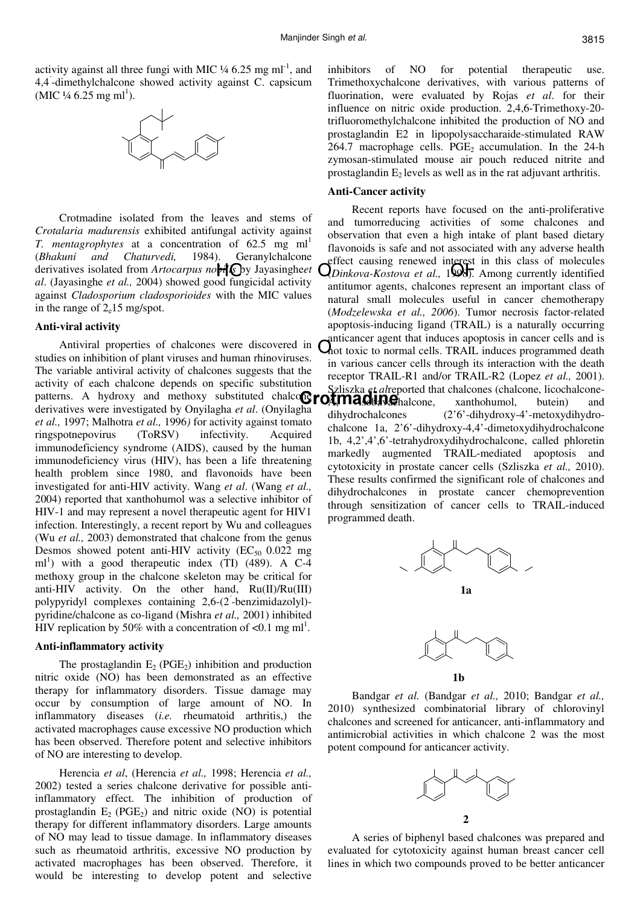activity against all three fungi with MIC  $\frac{1}{4}$  6.25 mg ml<sup>-1</sup>, and 4,4´ -dimethylchalcone showed activity against C. capsicum  $(MIC \frac{1}{4} 6.25 \text{ mg ml}^1).$ 



Crotmadine isolated from the leaves and stems of *Crotalaria madurensis* exhibited antifungal activity against *T. mentagrophytes* at a concentration of 62.5 mg ml<sup>1</sup> (*Bhakuni and Chaturvedi,* 1984). Geranylchalcone derivatives isolated from *Artocarpus nobil* C by Jayasingheet *al*. (Jayasinghe *et al.,* 2004) showed good fungicidal activity against *Cladosporium cladosporioides* with the MIC values in the range of  $2e^{15}$  mg/spot.

#### **Anti-viral activity**

Antiviral properties of chalcones were discovered in studies on inhibition of plant viruses and human rhinoviruses. The variable antiviral activity of chalcones suggests that the activity of each chalcone depends on specific substitution derivatives were investigated by Onyilagha *et al*. (Onyilagha *et al.,* 1997; Malhotra *et al.,* 1996*)* for activity against tomato ringspotnepovirus (ToRSV) infectivity. Acquired immunodeficiency syndrome (AIDS), caused by the human immunodeficiency virus (HIV), has been a life threatening health problem since 1980, and flavonoids have been investigated for anti-HIV activity. Wang *et al*. (Wang *et al.,* 2004) reported that xanthohumol was a selective inhibitor of HIV-1 and may represent a novel therapeutic agent for HIV1 infection. Interestingly, a recent report by Wu and colleagues (Wu *et al.,* 2003) demonstrated that chalcone from the genus Desmos showed potent anti-HIV activity ( $EC_{50}$  0.022 mg ml<sup>1</sup>) with a good therapeutic index (TI)  $(489)$ . A C-4 methoxy group in the chalcone skeleton may be critical for anti-HIV activity. On the other hand, Ru(II)/Ru(III) polypyridyl complexes containing 2,6-(2´ -benzimidazolyl) pyridine/chalcone as co-ligand (Mishra *et al.,* 2001) inhibited HIV replication by 50% with a concentration of  $\langle 0.1 \text{ mg ml}^1$ .

#### **Anti-inflammatory activity**

The prostaglandin  $E_2$  (PGE<sub>2</sub>) inhibition and production nitric oxide (NO) has been demonstrated as an effective therapy for inflammatory disorders. Tissue damage may occur by consumption of large amount of NO. In inflammatory diseases (*i.e.* rheumatoid arthritis,) the activated macrophages cause excessive NO production which has been observed. Therefore potent and selective inhibitors of NO are interesting to develop.

Herencia *et al*, (Herencia *et al.,* 1998; Herencia *et al.,*  2002) tested a series chalcone derivative for possible antiinflammatory effect. The inhibition of production of prostaglandin  $E_2$  (PGE<sub>2</sub>) and nitric oxide (NO) is potential therapy for different inflammatory disorders. Large amounts of NO may lead to tissue damage. In inflammatory diseases such as rheumatoid arthritis, excessive NO production by activated macrophages has been observed. Therefore, it would be interesting to develop potent and selective

inhibitors of NO for potential therapeutic use. Trimethoxychalcone derivatives, with various patterns of fluorination, were evaluated by Rojas *et al*. for their influence on nitric oxide production. 2,4,6-Trimethoxy-20 trifluoromethylchalcone inhibited the production of NO and prostaglandin E2 in lipopolysaccharaide-stimulated RAW 264.7 macrophage cells. PGE<sub>2</sub> accumulation. In the 24-h zymosan-stimulated mouse air pouch reduced nitrite and prostaglandin  $E_2$  levels as well as in the rat adjuvant arthritis.

#### **Anti-Cancer activity**

patterns. A hydroxy and methoxy substituted chalco**@ro***t***madine** halcone, xanthohumol, butein) and Recent reports have focused on the anti-proliferative and tumorreducing activities of some chalcones and observation that even a high intake of plant based dietary flavonoids is safe and not associated with any adverse health effect causing renewed interest in this class of molecules (*Dinkova-Kostova et al.,* 1998). Among currently identified antitumor agents, chalcones represent an important class of natural small molecules useful in cancer chemotherapy (*Modzelewska et al., 2006*). Tumor necrosis factor-related apoptosis-inducing ligand (TRAIL) is a naturally occurring anticancer agent that induces apoptosis in cancer cells and is hot toxic to normal cells. TRAIL induces programmed death in various cancer cells through its interaction with the death receptor TRAIL-R1 and/or TRAIL-R2 (Lopez *et al.,* 2001). zliszka *et alreported that chalcones (chalcone, licochalcone*dihydrochalcones (2'6'-dihydroxy-4'-metoxydihydrochalcone 1a, 2'6'-dihydroxy-4,4'-dimetoxydihydrochalcone 1b, 4,2',4',6'-tetrahydroxydihydrochalcone, called phloretin markedly augmented TRAIL-mediated apoptosis and cytotoxicity in prostate cancer cells (Szliszka *et al.,* 2010). These results confirmed the significant role of chalcones and dihydrochalcones in prostate cancer chemoprevention through sensitization of cancer cells to TRAIL-induced programmed death.





**1b** 

Bandgar *et al.* (Bandgar *et al.,* 2010; Bandgar *et al.,* 2010) synthesized combinatorial library of chlorovinyl chalcones and screened for anticancer, anti-inflammatory and antimicrobial activities in which chalcone 2 was the most potent compound for anticancer activity.



A series of biphenyl based chalcones was prepared and evaluated for cytotoxicity against human breast cancer cell lines in which two compounds proved to be better anticancer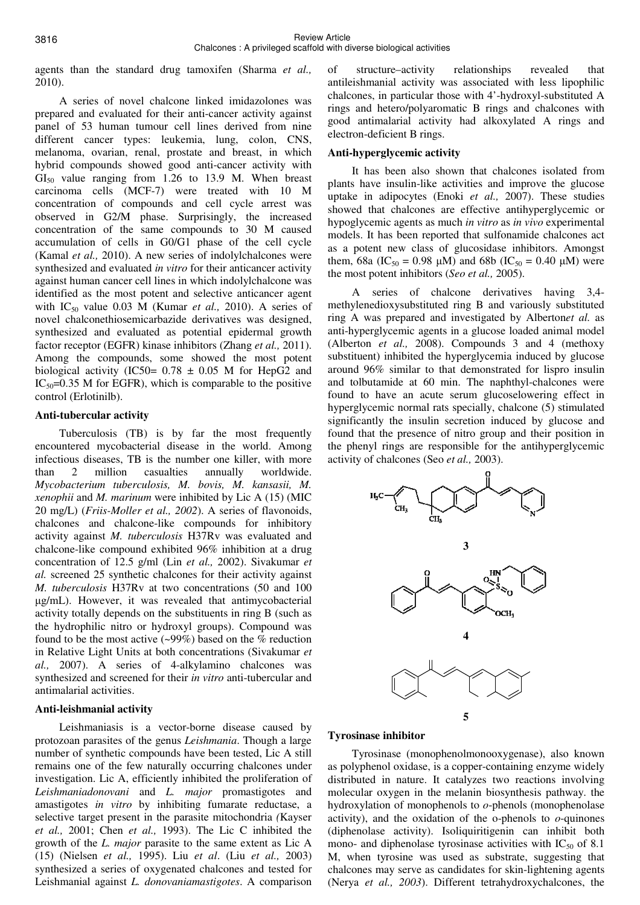agents than the standard drug tamoxifen (Sharma *et al.,* 2010).

A series of novel chalcone linked imidazolones was prepared and evaluated for their anti-cancer activity against panel of 53 human tumour cell lines derived from nine different cancer types: leukemia, lung, colon, CNS, melanoma, ovarian, renal, prostate and breast, in which hybrid compounds showed good anti-cancer activity with  $GI<sub>50</sub>$  value ranging from 1.26 to 13.9 M. When breast carcinoma cells (MCF-7) were treated with 10 M concentration of compounds and cell cycle arrest was observed in G2/M phase. Surprisingly, the increased concentration of the same compounds to 30 M caused accumulation of cells in G0/G1 phase of the cell cycle (Kamal *et al.,* 2010). A new series of indolylchalcones were synthesized and evaluated *in vitro* for their anticancer activity against human cancer cell lines in which indolylchalcone was identified as the most potent and selective anticancer agent with IC50 value 0.03 M (Kumar *et al.,* 2010). A series of novel chalconethiosemicarbazide derivatives was designed, synthesized and evaluated as potential epidermal growth factor receptor (EGFR) kinase inhibitors (Zhang *et al.,* 2011). Among the compounds, some showed the most potent biological activity (IC50=  $0.78 \pm 0.05$  M for HepG2 and  $IC_{50} = 0.35$  M for EGFR), which is comparable to the positive control (Erlotinilb).

# **Anti-tubercular activity**

Tuberculosis (TB) is by far the most frequently encountered mycobacterial disease in the world. Among infectious diseases, TB is the number one killer, with more than 2 million casualties annually worldwide. *Mycobacterium tuberculosis, M. bovis, M. kansasii, M. xenophii* and *M. marinum* were inhibited by Lic A (15) (MIC 20 mg/L) (*Friis-Moller et al., 2002*). A series of flavonoids, chalcones and chalcone-like compounds for inhibitory activity against *M. tuberculosis* H37Rv was evaluated and chalcone-like compound exhibited 96% inhibition at a drug concentration of 12.5 g/ml (Lin *et al.,* 2002). Sivakumar *et al.* screened 25 synthetic chalcones for their activity against *M. tuberculosis* H37Rv at two concentrations (50 and 100 µg/mL). However, it was revealed that antimycobacterial activity totally depends on the substituents in ring B (such as the hydrophilic nitro or hydroxyl groups). Compound was found to be the most active  $(\sim 99\%)$  based on the % reduction in Relative Light Units at both concentrations (Sivakumar *et al.,* 2007). A series of 4-alkylamino chalcones was synthesized and screened for their *in vitro* anti-tubercular and antimalarial activities.

# **Anti-leishmanial activity**

Leishmaniasis is a vector-borne disease caused by protozoan parasites of the genus *Leishmania*. Though a large number of synthetic compounds have been tested, Lic A still remains one of the few naturally occurring chalcones under investigation. Lic A, efficiently inhibited the proliferation of *Leishmaniadonovani* and *L. major* promastigotes and amastigotes *in vitro* by inhibiting fumarate reductase, a selective target present in the parasite mitochondria *(*Kayser *et al.,* 2001; Chen *et al.,* 1993). The Lic C inhibited the growth of the *L. major* parasite to the same extent as Lic A (15) (Nielsen *et al.,* 1995). Liu *et al*. (Liu *et al.,* 2003) synthesized a series of oxygenated chalcones and tested for Leishmanial against *L. donovaniamastigotes*. A comparison

of structure–activity relationships revealed that antileishmanial activity was associated with less lipophilic chalcones, in particular those with 4'-hydroxyl-substituted A rings and hetero/polyaromatic B rings and chalcones with good antimalarial activity had alkoxylated A rings and electron-deficient B rings.

# **Anti-hyperglycemic activity**

It has been also shown that chalcones isolated from plants have insulin-like activities and improve the glucose uptake in adipocytes (Enoki *et al.,* 2007). These studies showed that chalcones are effective antihyperglycemic or hypoglycemic agents as much *in vitro* as *in vivo* experimental models. It has been reported that sulfonamide chalcones act as a potent new class of glucosidase inhibitors. Amongst them, 68a (IC<sub>50</sub> = 0.98  $\mu$ M) and 68b (IC<sub>50</sub> = 0.40  $\mu$ M) were the most potent inhibitors (*Seo et al.,* 2005).

A series of chalcone derivatives having 3,4 methylenedioxysubstituted ring B and variously substituted ring A was prepared and investigated by Alberton*et al.* as anti-hyperglycemic agents in a glucose loaded animal model (Alberton *et al.,* 2008). Compounds 3 and 4 (methoxy substituent) inhibited the hyperglycemia induced by glucose around 96% similar to that demonstrated for lispro insulin and tolbutamide at 60 min. The naphthyl-chalcones were found to have an acute serum glucoselowering effect in hyperglycemic normal rats specially, chalcone (5) stimulated significantly the insulin secretion induced by glucose and found that the presence of nitro group and their position in the phenyl rings are responsible for the antihyperglycemic activity of chalcones (Seo *et al.,* 2003).



# **Tyrosinase inhibitor**

Tyrosinase (monophenolmonooxygenase), also known as polyphenol oxidase, is a copper-containing enzyme widely distributed in nature. It catalyzes two reactions involving molecular oxygen in the melanin biosynthesis pathway. the hydroxylation of monophenols to *o*-phenols (monophenolase activity), and the oxidation of the  $o$ -phenols to  $o$ -quinones (diphenolase activity). Isoliquiritigenin can inhibit both mono- and diphenolase tyrosinase activities with  $IC_{50}$  of 8.1 M, when tyrosine was used as substrate, suggesting that chalcones may serve as candidates for skin-lightening agents (Nerya *et al., 2003*). Different tetrahydroxychalcones, the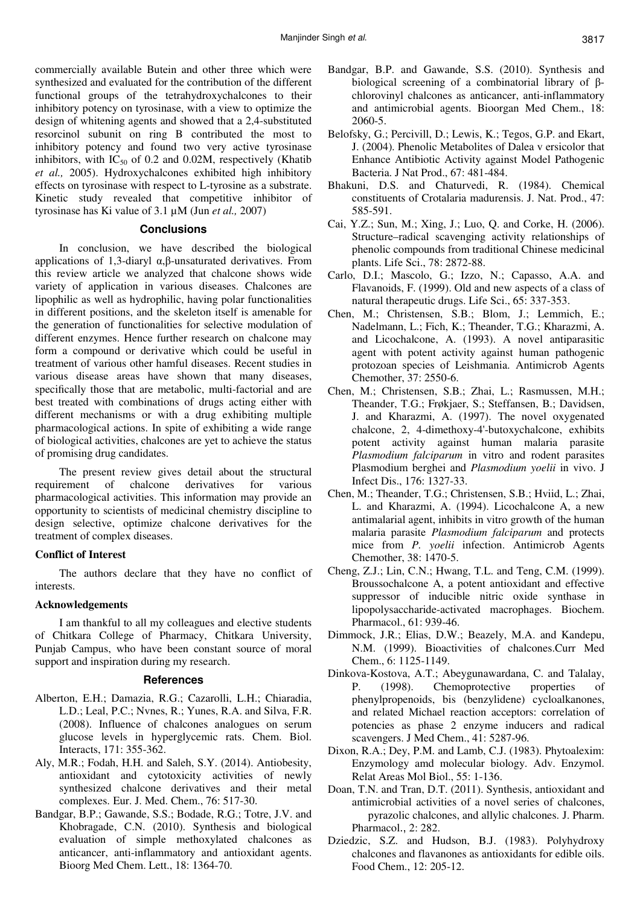commercially available Butein and other three which were synthesized and evaluated for the contribution of the different functional groups of the tetrahydroxychalcones to their inhibitory potency on tyrosinase, with a view to optimize the design of whitening agents and showed that a 2,4-substituted resorcinol subunit on ring B contributed the most to inhibitory potency and found two very active tyrosinase inhibitors, with  $IC_{50}$  of 0.2 and 0.02M, respectively (Khatib *et al.,* 2005). Hydroxychalcones exhibited high inhibitory effects on tyrosinase with respect to L-tyrosine as a substrate. Kinetic study revealed that competitive inhibitor of tyrosinase has Ki value of 3.1 µM (Jun *et al.,* 2007)

# **Conclusions**

In conclusion, we have described the biological applications of 1,3-diaryl α,β-unsaturated derivatives. From this review article we analyzed that chalcone shows wide variety of application in various diseases. Chalcones are lipophilic as well as hydrophilic, having polar functionalities in different positions, and the skeleton itself is amenable for the generation of functionalities for selective modulation of different enzymes. Hence further research on chalcone may form a compound or derivative which could be useful in treatment of various other hamful diseases. Recent studies in various disease areas have shown that many diseases, specifically those that are metabolic, multi-factorial and are best treated with combinations of drugs acting either with different mechanisms or with a drug exhibiting multiple pharmacological actions. In spite of exhibiting a wide range of biological activities, chalcones are yet to achieve the status of promising drug candidates.

The present review gives detail about the structural requirement of chalcone derivatives for various pharmacological activities. This information may provide an opportunity to scientists of medicinal chemistry discipline to design selective, optimize chalcone derivatives for the treatment of complex diseases.

### **Conflict of Interest**

The authors declare that they have no conflict of interests.

# **Acknowledgements**

I am thankful to all my colleagues and elective students of Chitkara College of Pharmacy, Chitkara University, Punjab Campus, who have been constant source of moral support and inspiration during my research.

# **References**

- Alberton, E.H.; Damazia, R.G.; Cazarolli, L.H.; Chiaradia, L.D.; Leal, P.C.; Nvnes, R.; Yunes, R.A. and Silva, F.R. (2008). Influence of chalcones analogues on serum glucose levels in hyperglycemic rats. Chem. Biol. Interacts, 171: 355-362.
- Aly, M.R.; Fodah, H.H. and Saleh, S.Y. (2014). Antiobesity, antioxidant and cytotoxicity activities of newly synthesized chalcone derivatives and their metal complexes. Eur. J. Med. Chem., 76: 517-30.
- Bandgar, B.P.; Gawande, S.S.; Bodade, R.G.; Totre, J.V. and Khobragade, C.N. (2010). Synthesis and biological evaluation of simple methoxylated chalcones as anticancer, anti-inflammatory and antioxidant agents. Bioorg Med Chem. Lett., 18: 1364-70.
- Bandgar, B.P. and Gawande, S.S. (2010). Synthesis and biological screening of a combinatorial library of βchlorovinyl chalcones as anticancer, anti-inflammatory and antimicrobial agents. Bioorgan Med Chem., 18: 2060-5.
- Belofsky, G.; Percivill, D.; Lewis, K.; Tegos, G.P. and Ekart, J. (2004). Phenolic Metabolites of Dalea v ersicolor that Enhance Antibiotic Activity against Model Pathogenic Bacteria. J Nat Prod., 67: 481-484.
- Bhakuni, D.S. and Chaturvedi, R. (1984). Chemical constituents of Crotalaria madurensis. J. Nat. Prod., 47: 585-591.
- Cai, Y.Z.; Sun, M.; Xing, J.; Luo, Q. and Corke, H. (2006). Structure–radical scavenging activity relationships of phenolic compounds from traditional Chinese medicinal plants. Life Sci., 78: 2872-88.
- Carlo, D.I.; Mascolo, G.; Izzo, N.; Capasso, A.A. and Flavanoids, F. (1999). Old and new aspects of a class of natural therapeutic drugs. Life Sci., 65: 337-353.
- Chen, M.; Christensen, S.B.; Blom, J.; Lemmich, E.; Nadelmann, L.; Fich, K.; Theander, T.G.; Kharazmi, A. and Licochalcone, A. (1993). A novel antiparasitic agent with potent activity against human pathogenic protozoan species of Leishmania. Antimicrob Agents Chemother, 37: 2550-6.
- Chen, M.; Christensen, S.B.; Zhai, L.; Rasmussen, M.H.; Theander, T.G.; Frøkjaer, S.; Steffansen, B.; Davidsen, J. and Kharazmi, A. (1997). The novel oxygenated chalcone, 2, 4-dimethoxy-4'-butoxychalcone, exhibits potent activity against human malaria parasite *Plasmodium falciparum* in vitro and rodent parasites Plasmodium berghei and *Plasmodium yoelii* in vivo. J Infect Dis., 176: 1327-33.
- Chen, M.; Theander, T.G.; Christensen, S.B.; Hviid, L.; Zhai, L. and Kharazmi, A. (1994). Licochalcone A, a new antimalarial agent, inhibits in vitro growth of the human malaria parasite *Plasmodium falciparum* and protects mice from *P. yoelii* infection. Antimicrob Agents Chemother, 38: 1470-5.
- Cheng, Z.J.; Lin, C.N.; Hwang, T.L. and Teng, C.M. (1999). Broussochalcone A, a potent antioxidant and effective suppressor of inducible nitric oxide synthase in lipopolysaccharide-activated macrophages. Biochem. Pharmacol., 61: 939-46.
- Dimmock, J.R.; Elias, D.W.; Beazely, M.A. and Kandepu, N.M. (1999). Bioactivities of chalcones.Curr Med Chem., 6: 1125-1149.
- Dinkova-Kostova, A.T.; Abeygunawardana, C. and Talalay, P. (1998). Chemoprotective properties of phenylpropenoids, bis (benzylidene) cycloalkanones, and related Michael reaction acceptors: correlation of potencies as phase 2 enzyme inducers and radical scavengers. J Med Chem., 41: 5287-96.
- Dixon, R.A.; Dey, P.M. and Lamb, C.J. (1983). Phytoalexim: Enzymology amd molecular biology. Adv. Enzymol. Relat Areas Mol Biol., 55: 1-136.
- Doan, T.N. and Tran, D.T. (2011). Synthesis, antioxidant and antimicrobial activities of a novel series of chalcones, pyrazolic chalcones, and allylic chalcones. J. Pharm. Pharmacol., 2: 282.
- Dziedzic, S.Z. and Hudson, B.J. (1983). Polyhydroxy chalcones and flavanones as antioxidants for edible oils. Food Chem., 12: 205-12.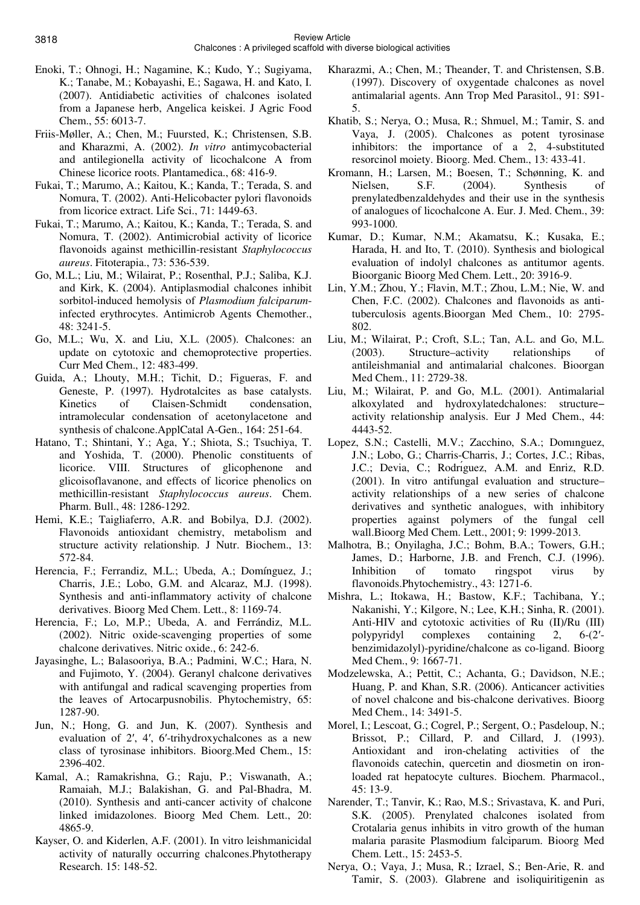- Enoki, T.; Ohnogi, H.; Nagamine, K.; Kudo, Y.; Sugiyama, K.; Tanabe, M.; Kobayashi, E.; Sagawa, H. and Kato, I. (2007). Antidiabetic activities of chalcones isolated from a Japanese herb, Angelica keiskei. J Agric Food Chem., 55: 6013-7.
- Friis-Møller, A.; Chen, M.; Fuursted, K.; Christensen, S.B. and Kharazmi, A. (2002). *In vitro* antimycobacterial and antilegionella activity of licochalcone A from Chinese licorice roots. Plantamedica., 68: 416-9.
- Fukai, T.; Marumo, A.; Kaitou, K.; Kanda, T.; Terada, S. and Nomura, T. (2002). Anti-Helicobacter pylori flavonoids from licorice extract. Life Sci., 71: 1449-63.
- Fukai, T.; Marumo, A.; Kaitou, K.; Kanda, T.; Terada, S. and Nomura, T. (2002). Antimicrobial activity of licorice flavonoids against methicillin-resistant *Staphylococcus aureus*. Fitoterapia., 73: 536-539.
- Go, M.L.; Liu, M.; Wilairat, P.; Rosenthal, P.J.; Saliba, K.J. and Kirk, K. (2004). Antiplasmodial chalcones inhibit sorbitol-induced hemolysis of *Plasmodium falciparum*infected erythrocytes. Antimicrob Agents Chemother., 48: 3241-5.
- Go, M.L.; Wu, X. and Liu, X.L. (2005). Chalcones: an update on cytotoxic and chemoprotective properties. Curr Med Chem., 12: 483-499.
- Guida, A.; Lhouty, M.H.; Tichit, D.; Figueras, F. and Geneste, P. (1997). Hydrotalcites as base catalysts. Kinetics of Claisen-Schmidt condensation, intramolecular condensation of acetonylacetone and synthesis of chalcone.ApplCatal A-Gen., 164: 251-64.
- Hatano, T.; Shintani, Y.; Aga, Y.; Shiota, S.; Tsuchiya, T. and Yoshida, T. (2000). Phenolic constituents of licorice. VIII. Structures of glicophenone and glicoisoflavanone, and effects of licorice phenolics on methicillin-resistant *Staphylococcus aureus*. Chem. Pharm. Bull., 48: 1286-1292.
- Hemi, K.E.; Taigliaferro, A.R. and Bobilya, D.J. (2002). Flavonoids antioxidant chemistry, metabolism and structure activity relationship. J Nutr. Biochem., 13: 572-84.
- Herencia, F.; Ferrandiz, M.L.; Ubeda, A.; Domínguez, J.; Charris, J.E.; Lobo, G.M. and Alcaraz, M.J. (1998). Synthesis and anti-inflammatory activity of chalcone derivatives. Bioorg Med Chem. Lett., 8: 1169-74.
- Herencia, F.; Lo, M.P.; Ubeda, A. and Ferrándiz, M.L. (2002). Nitric oxide-scavenging properties of some chalcone derivatives. Nitric oxide., 6: 242-6.
- Jayasinghe, L.; Balasooriya, B.A.; Padmini, W.C.; Hara, N. and Fujimoto, Y. (2004). Geranyl chalcone derivatives with antifungal and radical scavenging properties from the leaves of Artocarpusnobilis. Phytochemistry, 65: 1287-90.
- Jun, N.; Hong, G. and Jun, K. (2007). Synthesis and evaluation of 2′, 4′, 6′-trihydroxychalcones as a new class of tyrosinase inhibitors. Bioorg.Med Chem., 15: 2396-402.
- Kamal, A.; Ramakrishna, G.; Raju, P.; Viswanath, A.; Ramaiah, M.J.; Balakishan, G. and Pal-Bhadra, M. (2010). Synthesis and anti-cancer activity of chalcone linked imidazolones. Bioorg Med Chem. Lett., 20: 4865-9.
- Kayser, O. and Kiderlen, A.F. (2001). In vitro leishmanicidal activity of naturally occurring chalcones.Phytotherapy Research. 15: 148-52.
- Kharazmi, A.; Chen, M.; Theander, T. and Christensen, S.B. (1997). Discovery of oxygentade chalcones as novel antimalarial agents. Ann Trop Med Parasitol., 91: S91- 5.
- Khatib, S.; Nerya, O.; Musa, R.; Shmuel, M.; Tamir, S. and Vaya, J. (2005). Chalcones as potent tyrosinase inhibitors: the importance of a 2, 4-substituted resorcinol moiety. Bioorg. Med. Chem., 13: 433-41.
- Kromann, H.; Larsen, M.; Boesen, T.; Schønning, K. and Nielsen, S.F. (2004). Synthesis of prenylatedbenzaldehydes and their use in the synthesis of analogues of licochalcone A. Eur. J. Med. Chem., 39: 993-1000.
- Kumar, D.; Kumar, N.M.; Akamatsu, K.; Kusaka, E.; Harada, H. and Ito, T. (2010). Synthesis and biological evaluation of indolyl chalcones as antitumor agents. Bioorganic Bioorg Med Chem. Lett., 20: 3916-9.
- Lin, Y.M.; Zhou, Y.; Flavin, M.T.; Zhou, L.M.; Nie, W. and Chen, F.C. (2002). Chalcones and flavonoids as antituberculosis agents.Bioorgan Med Chem., 10: 2795- 802.
- Liu, M.; Wilairat, P.; Croft, S.L.; Tan, A.L. and Go, M.L. (2003). Structure–activity relationships of antileishmanial and antimalarial chalcones. Bioorgan Med Chem., 11: 2729-38.
- Liu, M.; Wilairat, P. and Go, M.L. (2001). Antimalarial alkoxylated and hydroxylatedchalones: structure− activity relationship analysis. Eur J Med Chem., 44: 4443-52.
- Lopez, S.N.; Castelli, M.V.; Zacchino, S.A.; Domınguez, J.N.; Lobo, G.; Charris-Charris, J.; Cortes, J.C.; Ribas, J.C.; Devia, C.; Rodriguez, A.M. and Enriz, R.D. (2001). In vitro antifungal evaluation and structure– activity relationships of a new series of chalcone derivatives and synthetic analogues, with inhibitory properties against polymers of the fungal cell wall.Bioorg Med Chem. Lett., 2001; 9: 1999-2013.
- Malhotra, B.; Onyilagha, J.C.; Bohm, B.A.; Towers, G.H.; James, D.; Harborne, J.B. and French, C.J. (1996). Inhibition of tomato ringspot virus by flavonoids.Phytochemistry., 43: 1271-6.
- Mishra, L.; Itokawa, H.; Bastow, K.F.; Tachibana, Y.; Nakanishi, Y.; Kilgore, N.; Lee, K.H.; Sinha, R. (2001). Anti-HIV and cytotoxic activities of Ru (II)/Ru (III) polypyridyl complexes containing 2, 6-(2′ benzimidazolyl)-pyridine/chalcone as co-ligand. Bioorg Med Chem., 9: 1667-71.
- Modzelewska, A.; Pettit, C.; Achanta, G.; Davidson, N.E.; Huang, P. and Khan, S.R. (2006). Anticancer activities of novel chalcone and bis-chalcone derivatives. Bioorg Med Chem., 14: 3491-5.
- Morel, I.; Lescoat, G.; Cogrel, P.; Sergent, O.; Pasdeloup, N.; Brissot, P.; Cillard, P. and Cillard, J. (1993). Antioxidant and iron-chelating activities of the flavonoids catechin, quercetin and diosmetin on ironloaded rat hepatocyte cultures. Biochem. Pharmacol., 45: 13-9.
- Narender, T.; Tanvir, K.; Rao, M.S.; Srivastava, K. and Puri, S.K. (2005). Prenylated chalcones isolated from Crotalaria genus inhibits in vitro growth of the human malaria parasite Plasmodium falciparum. Bioorg Med Chem. Lett., 15: 2453-5.
- Nerya, O.; Vaya, J.; Musa, R.; Izrael, S.; Ben-Arie, R. and Tamir, S. (2003). Glabrene and isoliquiritigenin as